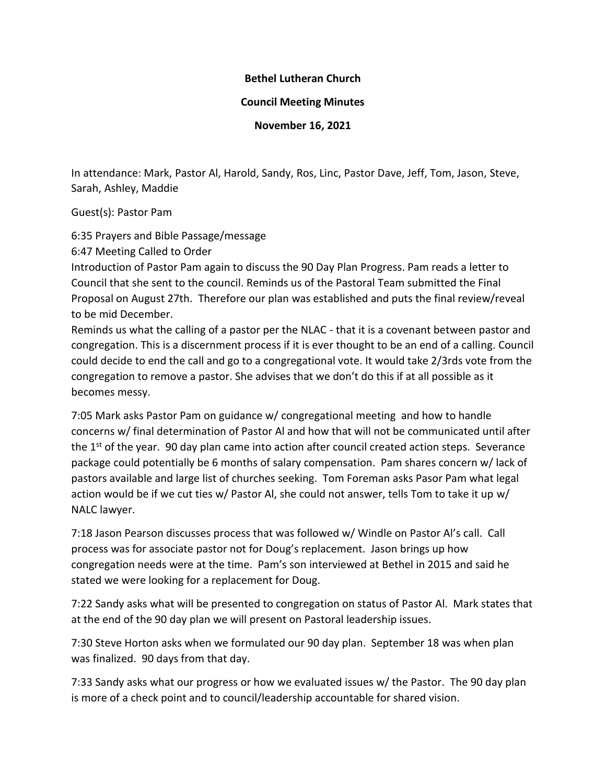## **Bethel Lutheran Church**

## **Council Meeting Minutes**

**November 16, 2021**

In attendance: Mark, Pastor Al, Harold, Sandy, Ros, Linc, Pastor Dave, Jeff, Tom, Jason, Steve, Sarah, Ashley, Maddie

Guest(s): Pastor Pam

6:35 Prayers and Bible Passage/message

6:47 Meeting Called to Order

Introduction of Pastor Pam again to discuss the 90 Day Plan Progress. Pam reads a letter to Council that she sent to the council. Reminds us of the Pastoral Team submitted the Final Proposal on August 27th. Therefore our plan was established and puts the final review/reveal to be mid December.

Reminds us what the calling of a pastor per the NLAC - that it is a covenant between pastor and congregation. This is a discernment process if it is ever thought to be an end of a calling. Council could decide to end the call and go to a congregational vote. It would take 2/3rds vote from the congregation to remove a pastor. She advises that we don't do this if at all possible as it becomes messy.

7:05 Mark asks Pastor Pam on guidance w/ congregational meeting and how to handle concerns w/ final determination of Pastor Al and how that will not be communicated until after the  $1<sup>st</sup>$  of the year. 90 day plan came into action after council created action steps. Severance package could potentially be 6 months of salary compensation. Pam shares concern w/ lack of pastors available and large list of churches seeking. Tom Foreman asks Pasor Pam what legal action would be if we cut ties w/ Pastor Al, she could not answer, tells Tom to take it up w/ NALC lawyer.

7:18 Jason Pearson discusses process that was followed w/ Windle on Pastor Al's call. Call process was for associate pastor not for Doug's replacement. Jason brings up how congregation needs were at the time. Pam's son interviewed at Bethel in 2015 and said he stated we were looking for a replacement for Doug.

7:22 Sandy asks what will be presented to congregation on status of Pastor Al. Mark states that at the end of the 90 day plan we will present on Pastoral leadership issues.

7:30 Steve Horton asks when we formulated our 90 day plan. September 18 was when plan was finalized. 90 days from that day.

7:33 Sandy asks what our progress or how we evaluated issues w/ the Pastor. The 90 day plan is more of a check point and to council/leadership accountable for shared vision.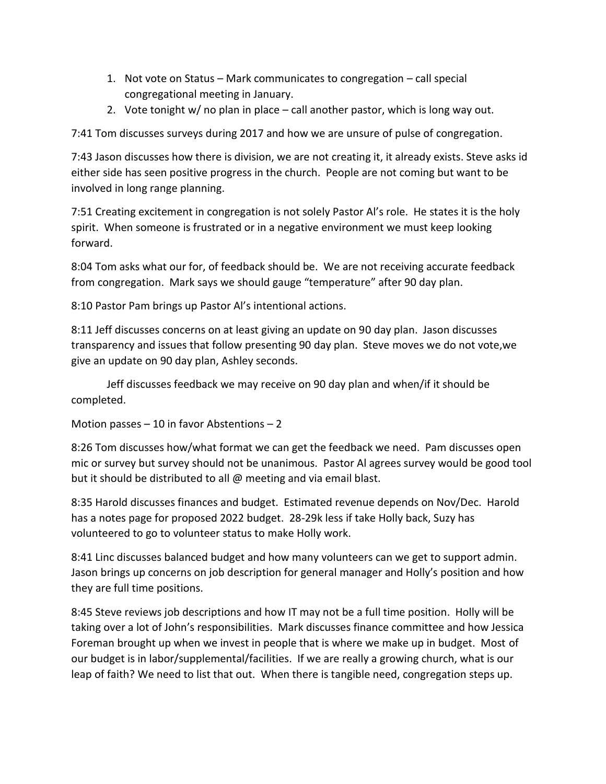- 1. Not vote on Status Mark communicates to congregation call special congregational meeting in January.
- 2. Vote tonight w/ no plan in place call another pastor, which is long way out.

7:41 Tom discusses surveys during 2017 and how we are unsure of pulse of congregation.

7:43 Jason discusses how there is division, we are not creating it, it already exists. Steve asks id either side has seen positive progress in the church. People are not coming but want to be involved in long range planning.

7:51 Creating excitement in congregation is not solely Pastor Al's role. He states it is the holy spirit. When someone is frustrated or in a negative environment we must keep looking forward.

8:04 Tom asks what our for, of feedback should be. We are not receiving accurate feedback from congregation. Mark says we should gauge "temperature" after 90 day plan.

8:10 Pastor Pam brings up Pastor Al's intentional actions.

8:11 Jeff discusses concerns on at least giving an update on 90 day plan. Jason discusses transparency and issues that follow presenting 90 day plan. Steve moves we do not vote,we give an update on 90 day plan, Ashley seconds.

Jeff discusses feedback we may receive on 90 day plan and when/if it should be completed.

Motion passes – 10 in favor Abstentions – 2

8:26 Tom discusses how/what format we can get the feedback we need. Pam discusses open mic or survey but survey should not be unanimous. Pastor Al agrees survey would be good tool but it should be distributed to all @ meeting and via email blast.

8:35 Harold discusses finances and budget. Estimated revenue depends on Nov/Dec. Harold has a notes page for proposed 2022 budget. 28-29k less if take Holly back, Suzy has volunteered to go to volunteer status to make Holly work.

8:41 Linc discusses balanced budget and how many volunteers can we get to support admin. Jason brings up concerns on job description for general manager and Holly's position and how they are full time positions.

8:45 Steve reviews job descriptions and how IT may not be a full time position. Holly will be taking over a lot of John's responsibilities. Mark discusses finance committee and how Jessica Foreman brought up when we invest in people that is where we make up in budget. Most of our budget is in labor/supplemental/facilities. If we are really a growing church, what is our leap of faith? We need to list that out. When there is tangible need, congregation steps up.